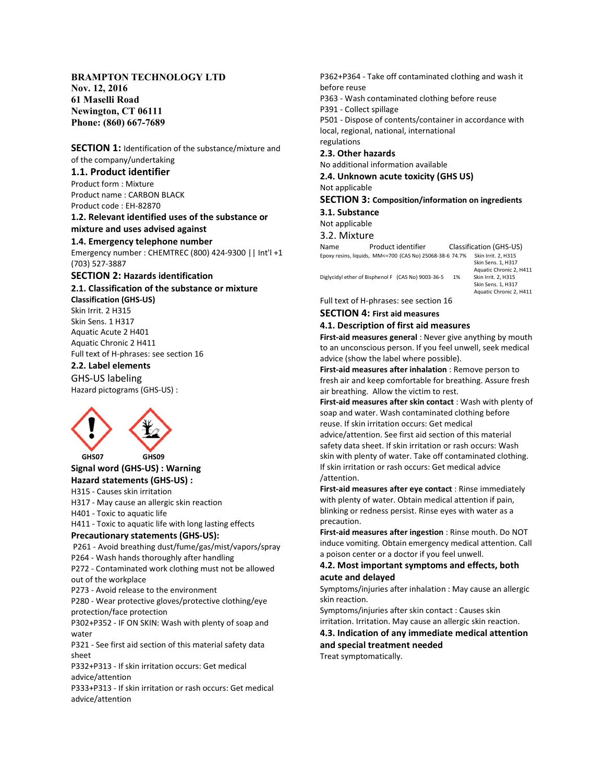# BRAMPTON TECHNOLOGY LTD

Nov. 12, 2016 61 Maselli Road Newington, CT 06111 Phone: (860) 667-7689

SECTION 1: Identification of the substance/mixture and of the company/undertaking

# 1.1. Product identifier

Product form : Mixture Product name : CARBON BLACK Product code : EH-82870

1.2. Relevant identified uses of the substance or mixture and uses advised against 1.4. Emergency telephone number

Emergency number : CHEMTREC (800) 424-9300 || Int'l +1 (703) 527-3887

## SECTION 2: Hazards identification

2.1. Classification of the substance or mixture Classification (GHS-US)

Skin Irrit. 2 H315 Skin Sens. 1 H317 Aquatic Acute 2 H401 Aquatic Chronic 2 H411 Full text of H-phrases: see section 16

## 2.2. Label elements

GHS-US labeling Hazard pictograms (GHS-US) :



 GHS07 GHS09 Signal word (GHS-US) : Warning Hazard statements (GHS-US) :

# H315 - Causes skin irritation

H317 - May cause an allergic skin reaction

H401 - Toxic to aquatic life

H411 - Toxic to aquatic life with long lasting effects

## Precautionary statements (GHS-US):

 P261 - Avoid breathing dust/fume/gas/mist/vapors/spray P264 - Wash hands thoroughly after handling

P272 - Contaminated work clothing must not be allowed out of the workplace

P273 - Avoid release to the environment

P280 - Wear protective gloves/protective clothing/eye protection/face protection

P302+P352 - IF ON SKIN: Wash with plenty of soap and water

P321 - See first aid section of this material safety data sheet

P332+P313 - If skin irritation occurs: Get medical advice/attention

P333+P313 - If skin irritation or rash occurs: Get medical advice/attention

P362+P364 - Take off contaminated clothing and wash it before reuse

P363 - Wash contaminated clothing before reuse

P391 - Collect spillage

P501 - Dispose of contents/container in accordance with local, regional, national, international regulations

# 2.3. Other hazards

No additional information available

2.4. Unknown acute toxicity (GHS US)

Not applicable

SECTION 3: Composition/information on ingredients

3.1. Substance

# Not applicable

3.2. Mixture

Name Product identifier Classification (GHS-US) Epoxy resins, liquids, MM<=700 (CAS No) 25068-38-6 74.7% Skin Irrit. 2, H315

Diglycidyl ether of Bisphenol F (CAS No) 9003-36-5 1%

 Skin Sens. 1, H317 Aquatic Chronic 2, H411<br>Skin Irrit. 2. H315 Skin Sens. 1, H317 Aquatic Chronic 2, H411

Full text of H-phrases: see section 16

## SECTION 4: First aid measures

# 4.1. Description of first aid measures

First-aid measures general : Never give anything by mouth to an unconscious person. If you feel unwell, seek medical advice (show the label where possible).

First-aid measures after inhalation : Remove person to fresh air and keep comfortable for breathing. Assure fresh air breathing. Allow the victim to rest.

First-aid measures after skin contact : Wash with plenty of soap and water. Wash contaminated clothing before reuse. If skin irritation occurs: Get medical advice/attention. See first aid section of this material safety data sheet. If skin irritation or rash occurs: Wash skin with plenty of water. Take off contaminated clothing. If skin irritation or rash occurs: Get medical advice /attention.

First-aid measures after eye contact : Rinse immediately with plenty of water. Obtain medical attention if pain, blinking or redness persist. Rinse eyes with water as a precaution.

First-aid measures after ingestion : Rinse mouth. Do NOT induce vomiting. Obtain emergency medical attention. Call a poison center or a doctor if you feel unwell.

# 4.2. Most important symptoms and effects, both acute and delayed

Symptoms/injuries after inhalation : May cause an allergic skin reaction.

Symptoms/injuries after skin contact : Causes skin irritation. Irritation. May cause an allergic skin reaction.

4.3. Indication of any immediate medical attention and special treatment needed

Treat symptomatically.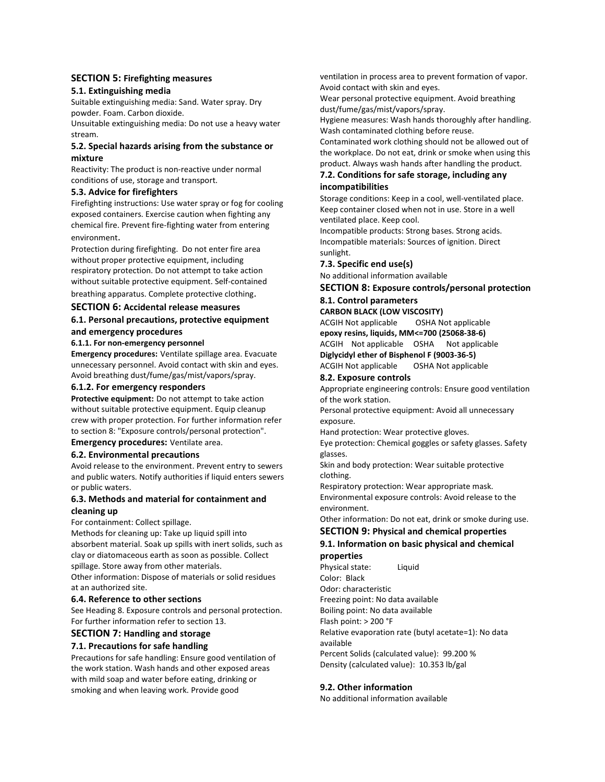# SECTION 5: Firefighting measures

#### 5.1. Extinguishing media

Suitable extinguishing media: Sand. Water spray. Dry powder. Foam. Carbon dioxide.

Unsuitable extinguishing media: Do not use a heavy water stream.

# 5.2. Special hazards arising from the substance or mixture

Reactivity: The product is non-reactive under normal conditions of use, storage and transport.

# 5.3. Advice for firefighters

Firefighting instructions: Use water spray or fog for cooling exposed containers. Exercise caution when fighting any chemical fire. Prevent fire-fighting water from entering environment.

Protection during firefighting. Do not enter fire area without proper protective equipment, including respiratory protection. Do not attempt to take action without suitable protective equipment. Self-contained breathing apparatus. Complete protective clothing.

# SECTION 6: Accidental release measures

# 6.1. Personal precautions, protective equipment and emergency procedures

#### 6.1.1. For non-emergency personnel

Emergency procedures: Ventilate spillage area. Evacuate unnecessary personnel. Avoid contact with skin and eyes. Avoid breathing dust/fume/gas/mist/vapors/spray.

## 6.1.2. For emergency responders

Protective equipment: Do not attempt to take action without suitable protective equipment. Equip cleanup crew with proper protection. For further information refer to section 8: "Exposure controls/personal protection".

## Emergency procedures: Ventilate area.

## 6.2. Environmental precautions

Avoid release to the environment. Prevent entry to sewers and public waters. Notify authorities if liquid enters sewers or public waters.

# 6.3. Methods and material for containment and

# cleaning up

For containment: Collect spillage.

Methods for cleaning up: Take up liquid spill into absorbent material. Soak up spills with inert solids, such as clay or diatomaceous earth as soon as possible. Collect spillage. Store away from other materials.

Other information: Dispose of materials or solid residues at an authorized site.

## 6.4. Reference to other sections

See Heading 8. Exposure controls and personal protection. For further information refer to section 13.

# SECTION 7: Handling and storage

# 7.1. Precautions for safe handling

Precautions for safe handling: Ensure good ventilation of the work station. Wash hands and other exposed areas with mild soap and water before eating, drinking or smoking and when leaving work. Provide good

ventilation in process area to prevent formation of vapor. Avoid contact with skin and eyes.

Wear personal protective equipment. Avoid breathing dust/fume/gas/mist/vapors/spray.

Hygiene measures: Wash hands thoroughly after handling. Wash contaminated clothing before reuse.

Contaminated work clothing should not be allowed out of the workplace. Do not eat, drink or smoke when using this product. Always wash hands after handling the product.

# 7.2. Conditions for safe storage, including any incompatibilities

Storage conditions: Keep in a cool, well-ventilated place. Keep container closed when not in use. Store in a well ventilated place. Keep cool.

Incompatible products: Strong bases. Strong acids. Incompatible materials: Sources of ignition. Direct sunlight.

7.3. Specific end use(s)

No additional information available

## SECTION 8: Exposure controls/personal protection

#### 8.1. Control parameters CARBON BLACK (LOW VISCOSITY)

ACGIH Not applicable OSHA Not applicable epoxy resins, liquids, MM<=700 (25068-38-6) ACGIH Not applicable OSHA Not applicable Diglycidyl ether of Bisphenol F (9003-36-5) ACGIH Not applicable OSHA Not applicable

#### 8.2. Exposure controls

Appropriate engineering controls: Ensure good ventilation of the work station.

Personal protective equipment: Avoid all unnecessary exposure.

Hand protection: Wear protective gloves.

Eye protection: Chemical goggles or safety glasses. Safety glasses.

Skin and body protection: Wear suitable protective clothing.

Respiratory protection: Wear appropriate mask. Environmental exposure controls: Avoid release to the environment.

Other information: Do not eat, drink or smoke during use.

# SECTION 9: Physical and chemical properties

# 9.1. Information on basic physical and chemical properties

Physical state: Liquid Color: Black Odor: characteristic Freezing point: No data available Boiling point: No data available Flash point: > 200 °F Relative evaporation rate (butyl acetate=1): No data available Percent Solids (calculated value): 99.200 % Density (calculated value): 10.353 lb/gal

## 9.2. Other information

No additional information available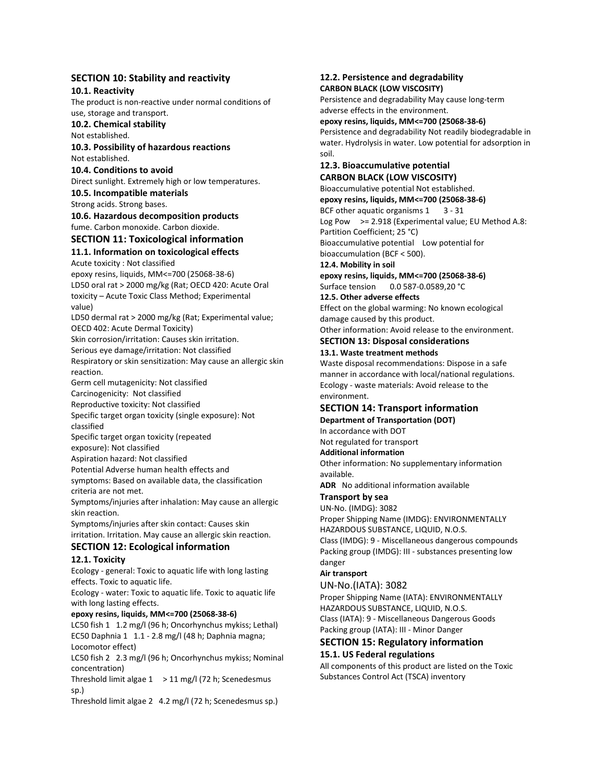# SECTION 10: Stability and reactivity

10.1. Reactivity

The product is non-reactive under normal conditions of use, storage and transport.

10.2. Chemical stability

Not established.

10.3. Possibility of hazardous reactions Not established.

10.4. Conditions to avoid

Direct sunlight. Extremely high or low temperatures. 10.5. Incompatible materials

Strong acids. Strong bases.

10.6. Hazardous decomposition products

fume. Carbon monoxide. Carbon dioxide.

# SECTION 11: Toxicological information

# 11.1. Information on toxicological effects

Acute toxicity : Not classified

epoxy resins, liquids, MM<=700 (25068-38-6) LD50 oral rat > 2000 mg/kg (Rat; OECD 420: Acute Oral toxicity – Acute Toxic Class Method; Experimental value)

LD50 dermal rat > 2000 mg/kg (Rat; Experimental value; OECD 402: Acute Dermal Toxicity)

Skin corrosion/irritation: Causes skin irritation.

Serious eye damage/irritation: Not classified

Respiratory or skin sensitization: May cause an allergic skin reaction.

Germ cell mutagenicity: Not classified

Carcinogenicity: Not classified Reproductive toxicity: Not classified

Specific target organ toxicity (single exposure): Not classified

Specific target organ toxicity (repeated exposure): Not classified

Aspiration hazard: Not classified

Potential Adverse human health effects and

symptoms: Based on available data, the classification criteria are not met.

Symptoms/injuries after inhalation: May cause an allergic skin reaction.

Symptoms/injuries after skin contact: Causes skin irritation. Irritation. May cause an allergic skin reaction.

# SECTION 12: Ecological information

## 12.1. Toxicity

Ecology - general: Toxic to aquatic life with long lasting effects. Toxic to aquatic life.

Ecology - water: Toxic to aquatic life. Toxic to aquatic life with long lasting effects.

## epoxy resins, liquids, MM<=700 (25068-38-6)

LC50 fish 1 1.2 mg/l (96 h; Oncorhynchus mykiss; Lethal) EC50 Daphnia 1 1.1 - 2.8 mg/l (48 h; Daphnia magna; Locomotor effect)

LC50 fish 2 2.3 mg/l (96 h; Oncorhynchus mykiss; Nominal concentration)

Threshold limit algae  $1 > 11$  mg/l (72 h; Scenedesmus sp.)

Threshold limit algae 2 4.2 mg/l (72 h; Scenedesmus sp.)

#### 12.2. Persistence and degradability CARBON BLACK (LOW VISCOSITY)

Persistence and degradability May cause long-term adverse effects in the environment.

epoxy resins, liquids, MM<=700 (25068-38-6)

Persistence and degradability Not readily biodegradable in water. Hydrolysis in water. Low potential for adsorption in soil.

#### 12.3. Bioaccumulative potential CARBON BLACK (LOW VISCOSITY)

Bioaccumulative potential Not established. epoxy resins, liquids, MM<=700 (25068-38-6) BCF other aquatic organisms  $1 \quad 3 - 31$ Log Pow >= 2.918 (Experimental value; EU Method A.8: Partition Coefficient; 25 °C) Bioaccumulative potential Low potential for bioaccumulation (BCF < 500). 12.4. Mobility in soil epoxy resins, liquids, MM<=700 (25068-38-6) Surface tension 0.0 587-0.0589,20 °C 12.5. Other adverse effects Effect on the global warming: No known ecological

damage caused by this product. Other information: Avoid release to the environment.

SECTION 13: Disposal considerations

13.1. Waste treatment methods

Waste disposal recommendations: Dispose in a safe manner in accordance with local/national regulations. Ecology - waste materials: Avoid release to the environment.

# SECTION 14: Transport information

Department of Transportation (DOT)

In accordance with DOT Not regulated for transport

Additional information

Other information: No supplementary information available.

ADR No additional information available

## Transport by sea

UN-No. (IMDG): 3082 Proper Shipping Name (IMDG): ENVIRONMENTALLY HAZARDOUS SUBSTANCE, LIQUID, N.O.S.

Class (IMDG): 9 - Miscellaneous dangerous compounds Packing group (IMDG): III - substances presenting low danger

# Air transport

## UN-No.(IATA): 3082

Proper Shipping Name (IATA): ENVIRONMENTALLY HAZARDOUS SUBSTANCE, LIQUID, N.O.S. Class (IATA): 9 - Miscellaneous Dangerous Goods Packing group (IATA): III - Minor Danger

## SECTION 15: Regulatory information 15.1. US Federal regulations

All components of this product are listed on the Toxic Substances Control Act (TSCA) inventory